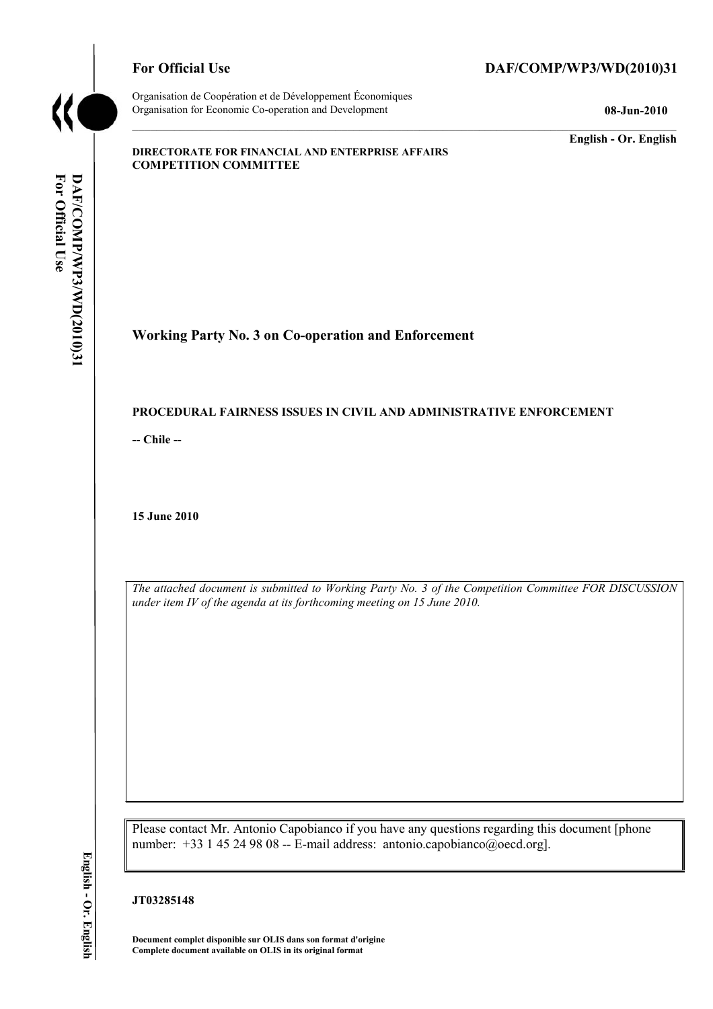

Organisation de Coopération et de Développement Économiques Organisation for Economic Co-operation and Development **08-Jun-2010** 

# For Official Use DAF/COMP/WP3/WD(2010)31

**English - Or. English** 

#### **DIRECTORATE FOR FINANCIAL AND ENTERPRISE AFFAIRS COMPETITION COMMITTEE**

**Working Party No. 3 on Co-operation and Enforcement** 

#### **PROCEDURAL FAIRNESS ISSUES IN CIVIL AND ADMINISTRATIVE ENFORCEMENT**

**-- Chile --** 

**15 June 2010** 

*The attached document is submitted to Working Party No. 3 of the Competition Committee FOR DISCUSSION under item IV of the agenda at its forthcoming meeting on 15 June 2010.* 

Please contact Mr. Antonio Capobianco if you have any questions regarding this document [phone number: +33 1 45 24 98 08 -- E-mail address: antonio.capobianco@oecd.org].

**Document complet disponible sur OLIS dans son format d'origine Complete document available on OLIS in its original format**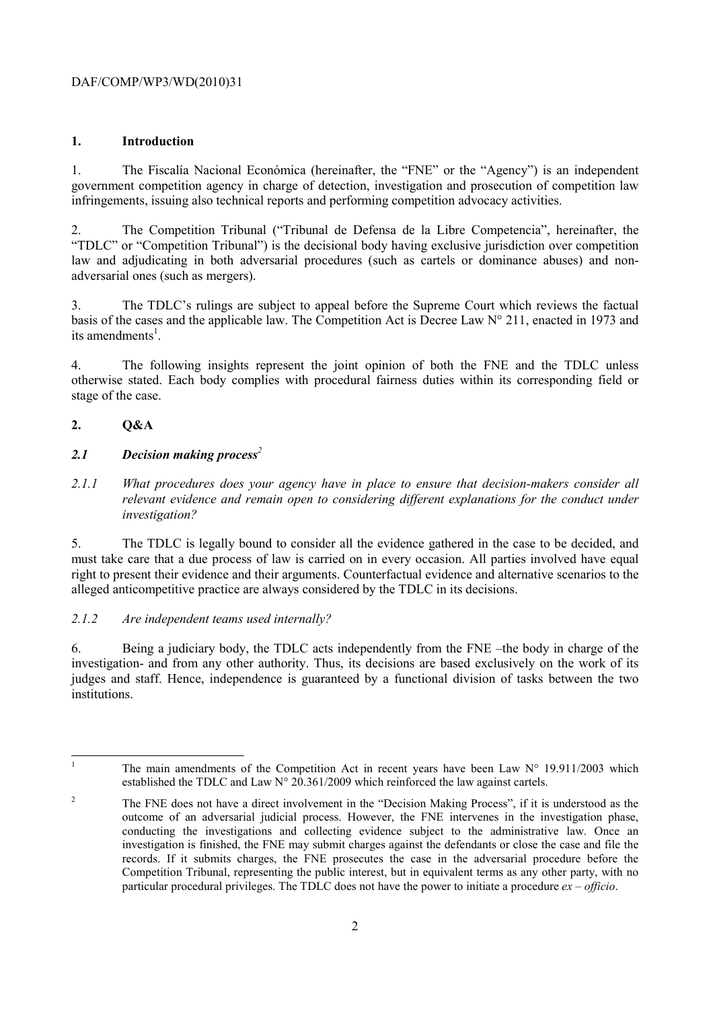# DAF/COMP/WP3/WD(2010)31

#### **1. Introduction**

1. The Fiscalía Nacional Económica (hereinafter, the "FNE" or the "Agency") is an independent government competition agency in charge of detection, investigation and prosecution of competition law infringements, issuing also technical reports and performing competition advocacy activities.

2. The Competition Tribunal ("Tribunal de Defensa de la Libre Competencia", hereinafter, the "TDLC" or "Competition Tribunal") is the decisional body having exclusive jurisdiction over competition law and adjudicating in both adversarial procedures (such as cartels or dominance abuses) and nonadversarial ones (such as mergers).

3. The TDLC's rulings are subject to appeal before the Supreme Court which reviews the factual basis of the cases and the applicable law. The Competition Act is Decree Law N° 211, enacted in 1973 and its amendments<sup>1</sup>.

4. The following insights represent the joint opinion of both the FNE and the TDLC unless otherwise stated. Each body complies with procedural fairness duties within its corresponding field or stage of the case.

#### **2. Q&A**

#### *2.1 Decision making process<sup>2</sup>*

*2.1.1 What procedures does your agency have in place to ensure that decision-makers consider all relevant evidence and remain open to considering different explanations for the conduct under investigation?* 

5. The TDLC is legally bound to consider all the evidence gathered in the case to be decided, and must take care that a due process of law is carried on in every occasion. All parties involved have equal right to present their evidence and their arguments. Counterfactual evidence and alternative scenarios to the alleged anticompetitive practice are always considered by the TDLC in its decisions.

# *2.1.2 Are independent teams used internally?*

6. Being a judiciary body, the TDLC acts independently from the FNE –the body in charge of the investigation- and from any other authority. Thus, its decisions are based exclusively on the work of its judges and staff. Hence, independence is guaranteed by a functional division of tasks between the two **institutions** 

 $\frac{1}{1}$ 

The main amendments of the Competition Act in recent years have been Law  $N^{\circ}$  19.911/2003 which established the TDLC and Law  $N^{\circ}$  20.361/2009 which reinforced the law against cartels.

 $\overline{2}$  The FNE does not have a direct involvement in the "Decision Making Process", if it is understood as the outcome of an adversarial judicial process. However, the FNE intervenes in the investigation phase, conducting the investigations and collecting evidence subject to the administrative law. Once an investigation is finished, the FNE may submit charges against the defendants or close the case and file the records. If it submits charges, the FNE prosecutes the case in the adversarial procedure before the Competition Tribunal, representing the public interest, but in equivalent terms as any other party, with no particular procedural privileges. The TDLC does not have the power to initiate a procedure *ex – officio*.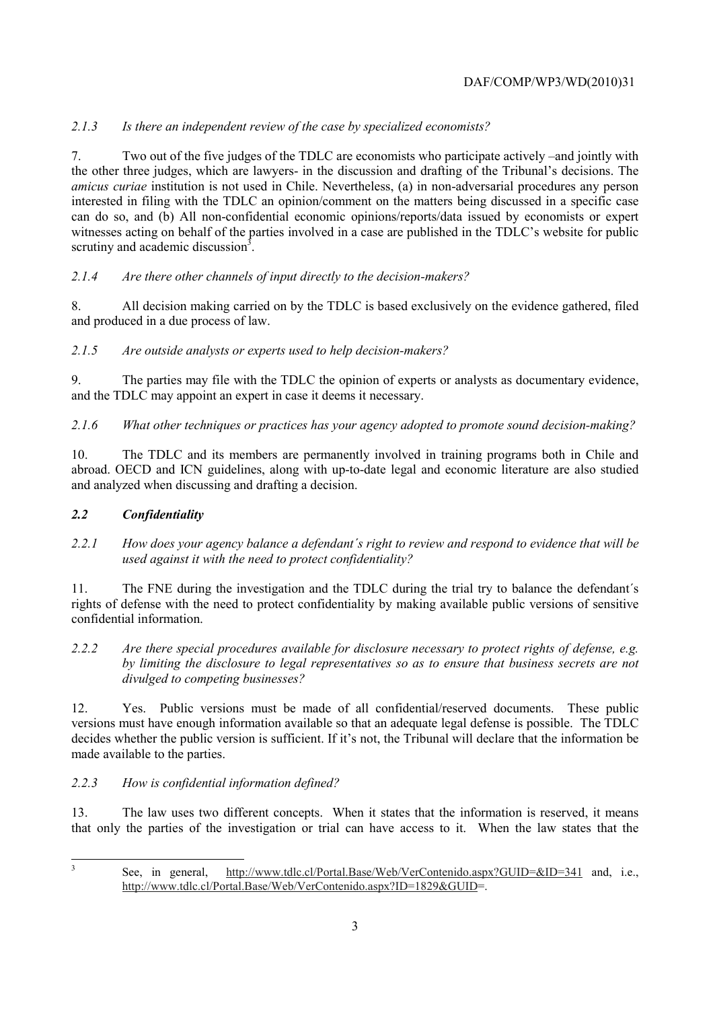# *2.1.3 Is there an independent review of the case by specialized economists?*

7. Two out of the five judges of the TDLC are economists who participate actively –and jointly with the other three judges, which are lawyers- in the discussion and drafting of the Tribunal's decisions. The *amicus curiae* institution is not used in Chile. Nevertheless, (a) in non-adversarial procedures any person interested in filing with the TDLC an opinion/comment on the matters being discussed in a specific case can do so, and (b) All non-confidential economic opinions/reports/data issued by economists or expert witnesses acting on behalf of the parties involved in a case are published in the TDLC's website for public scrutiny and academic discussion $3$ .

# *2.1.4 Are there other channels of input directly to the decision-makers?*

8. All decision making carried on by the TDLC is based exclusively on the evidence gathered, filed and produced in a due process of law.

# *2.1.5 Are outside analysts or experts used to help decision-makers?*

9. The parties may file with the TDLC the opinion of experts or analysts as documentary evidence, and the TDLC may appoint an expert in case it deems it necessary.

*2.1.6 What other techniques or practices has your agency adopted to promote sound decision-making?* 

10. The TDLC and its members are permanently involved in training programs both in Chile and abroad. OECD and ICN guidelines, along with up-to-date legal and economic literature are also studied and analyzed when discussing and drafting a decision.

# *2.2 Confidentiality*

*2.2.1 How does your agency balance a defendant´s right to review and respond to evidence that will be used against it with the need to protect confidentiality?* 

11. The FNE during the investigation and the TDLC during the trial try to balance the defendant´s rights of defense with the need to protect confidentiality by making available public versions of sensitive confidential information.

*2.2.2 Are there special procedures available for disclosure necessary to protect rights of defense, e.g. by limiting the disclosure to legal representatives so as to ensure that business secrets are not divulged to competing businesses?* 

12. Yes. Public versions must be made of all confidential/reserved documents. These public versions must have enough information available so that an adequate legal defense is possible. The TDLC decides whether the public version is sufficient. If it's not, the Tribunal will declare that the information be made available to the parties.

# *2.2.3 How is confidential information defined?*

13. The law uses two different concepts. When it states that the information is reserved, it means that only the parties of the investigation or trial can have access to it. When the law states that the

3

See, in general, http://www.tdlc.cl/Portal.Base/Web/VerContenido.aspx?GUID=&ID=341 and, i.e., http://www.tdlc.cl/Portal.Base/Web/VerContenido.aspx?ID=1829&GUID=.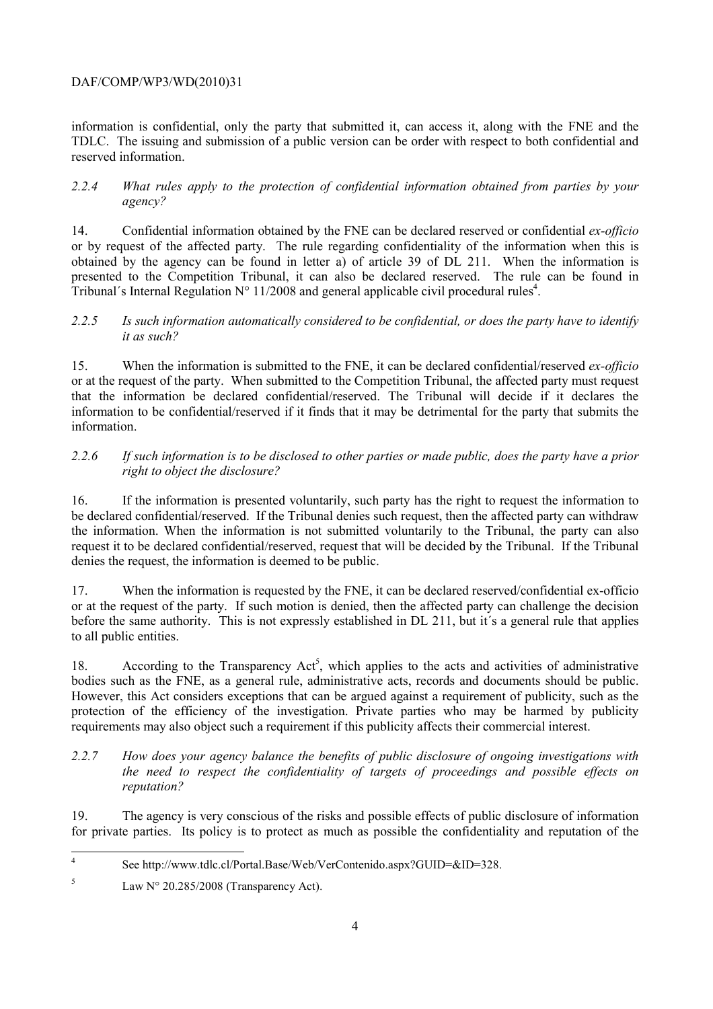# DAF/COMP/WP3/WD(2010)31

information is confidential, only the party that submitted it, can access it, along with the FNE and the TDLC. The issuing and submission of a public version can be order with respect to both confidential and reserved information.

### *2.2.4 What rules apply to the protection of confidential information obtained from parties by your agency?*

14. Confidential information obtained by the FNE can be declared reserved or confidential *ex-officio* or by request of the affected party. The rule regarding confidentiality of the information when this is obtained by the agency can be found in letter a) of article 39 of DL 211. When the information is presented to the Competition Tribunal, it can also be declared reserved. The rule can be found in Tribunal's Internal Regulation  $N^{\circ}$  11/2008 and general applicable civil procedural rules<sup>4</sup>.

#### *2.2.5 Is such information automatically considered to be confidential, or does the party have to identify it as such?*

15. When the information is submitted to the FNE, it can be declared confidential/reserved *ex-officio* or at the request of the party. When submitted to the Competition Tribunal, the affected party must request that the information be declared confidential/reserved. The Tribunal will decide if it declares the information to be confidential/reserved if it finds that it may be detrimental for the party that submits the information.

# *2.2.6 If such information is to be disclosed to other parties or made public, does the party have a prior right to object the disclosure?*

16. If the information is presented voluntarily, such party has the right to request the information to be declared confidential/reserved. If the Tribunal denies such request, then the affected party can withdraw the information. When the information is not submitted voluntarily to the Tribunal, the party can also request it to be declared confidential/reserved, request that will be decided by the Tribunal. If the Tribunal denies the request, the information is deemed to be public.

17. When the information is requested by the FNE, it can be declared reserved/confidential ex-officio or at the request of the party. If such motion is denied, then the affected party can challenge the decision before the same authority. This is not expressly established in DL 211, but it´s a general rule that applies to all public entities.

18. According to the Transparency Act<sup>5</sup>, which applies to the acts and activities of administrative bodies such as the FNE, as a general rule, administrative acts, records and documents should be public. However, this Act considers exceptions that can be argued against a requirement of publicity, such as the protection of the efficiency of the investigation. Private parties who may be harmed by publicity requirements may also object such a requirement if this publicity affects their commercial interest.

#### *2.2.7 How does your agency balance the benefits of public disclosure of ongoing investigations with the need to respect the confidentiality of targets of proceedings and possible effects on reputation?*

19. The agency is very conscious of the risks and possible effects of public disclosure of information for private parties. Its policy is to protect as much as possible the confidentiality and reputation of the

 $\frac{1}{4}$ See http://www.tdlc.cl/Portal.Base/Web/VerContenido.aspx?GUID=&ID=328.

<sup>5</sup> Law N° 20.285/2008 (Transparency Act).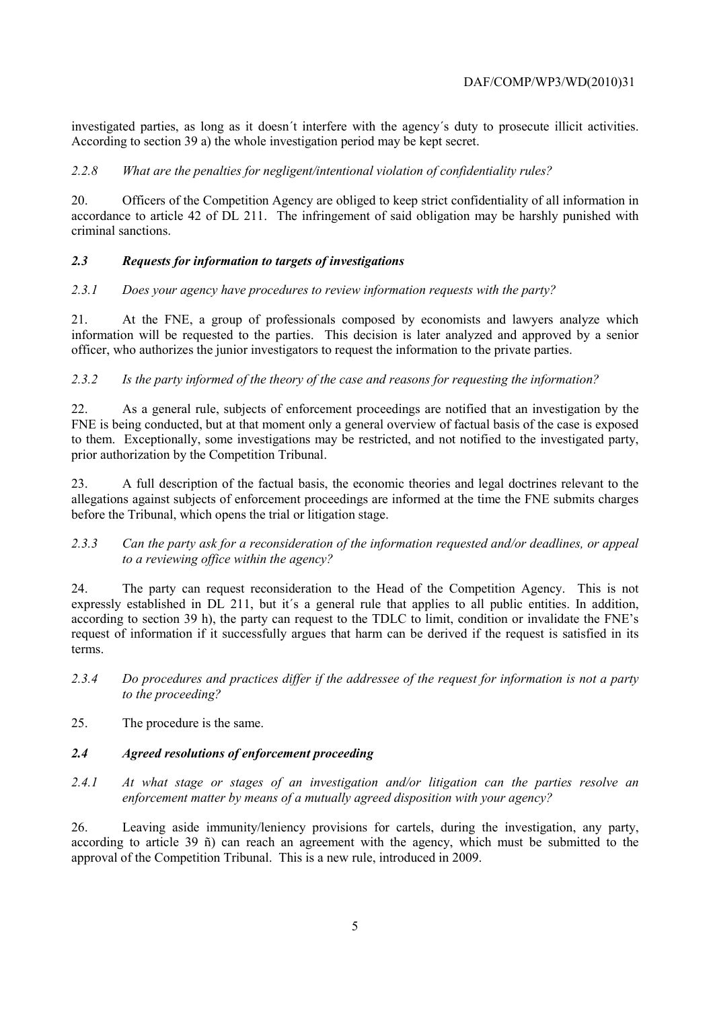investigated parties, as long as it doesn´t interfere with the agency´s duty to prosecute illicit activities. According to section 39 a) the whole investigation period may be kept secret.

### *2.2.8 What are the penalties for negligent/intentional violation of confidentiality rules?*

20. Officers of the Competition Agency are obliged to keep strict confidentiality of all information in accordance to article 42 of DL 211. The infringement of said obligation may be harshly punished with criminal sanctions.

# *2.3 Requests for information to targets of investigations*

#### *2.3.1 Does your agency have procedures to review information requests with the party?*

21. At the FNE, a group of professionals composed by economists and lawyers analyze which information will be requested to the parties. This decision is later analyzed and approved by a senior officer, who authorizes the junior investigators to request the information to the private parties.

#### *2.3.2 Is the party informed of the theory of the case and reasons for requesting the information?*

22. As a general rule, subjects of enforcement proceedings are notified that an investigation by the FNE is being conducted, but at that moment only a general overview of factual basis of the case is exposed to them. Exceptionally, some investigations may be restricted, and not notified to the investigated party, prior authorization by the Competition Tribunal.

23. A full description of the factual basis, the economic theories and legal doctrines relevant to the allegations against subjects of enforcement proceedings are informed at the time the FNE submits charges before the Tribunal, which opens the trial or litigation stage.

#### *2.3.3 Can the party ask for a reconsideration of the information requested and/or deadlines, or appeal to a reviewing office within the agency?*

24. The party can request reconsideration to the Head of the Competition Agency. This is not expressly established in DL 211, but it´s a general rule that applies to all public entities. In addition, according to section 39 h), the party can request to the TDLC to limit, condition or invalidate the FNE's request of information if it successfully argues that harm can be derived if the request is satisfied in its terms.

- *2.3.4 Do procedures and practices differ if the addressee of the request for information is not a party to the proceeding?*
- 25. The procedure is the same.

### *2.4 Agreed resolutions of enforcement proceeding*

*2.4.1 At what stage or stages of an investigation and/or litigation can the parties resolve an enforcement matter by means of a mutually agreed disposition with your agency?* 

26. Leaving aside immunity/leniency provisions for cartels, during the investigation, any party, according to article 39 ñ) can reach an agreement with the agency, which must be submitted to the approval of the Competition Tribunal. This is a new rule, introduced in 2009.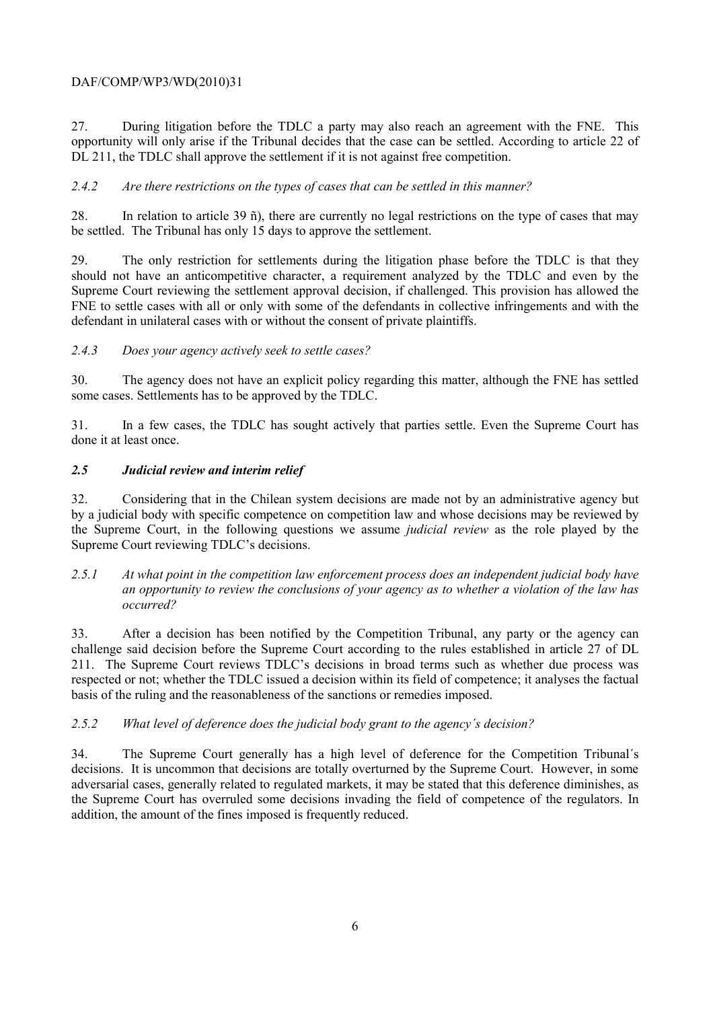# DAF/COMP/WP3/WD(2010)31

27. During litigation before the TDLC a party may also reach an agreement with the FNE. This opportunity will only arise if the Tribunal decides that the case can be settled. According to article 22 of DL 211, the TDLC shall approve the settlement if it is not against free competition.

#### *2.4.2 Are there restrictions on the types of cases that can be settled in this manner?*

28. In relation to article 39 ñ), there are currently no legal restrictions on the type of cases that may be settled. The Tribunal has only 15 days to approve the settlement.

29. The only restriction for settlements during the litigation phase before the TDLC is that they should not have an anticompetitive character, a requirement analyzed by the TDLC and even by the Supreme Court reviewing the settlement approval decision, if challenged. This provision has allowed the FNE to settle cases with all or only with some of the defendants in collective infringements and with the defendant in unilateral cases with or without the consent of private plaintiffs.

#### *2.4.3 Does your agency actively seek to settle cases?*

30. The agency does not have an explicit policy regarding this matter, although the FNE has settled some cases. Settlements has to be approved by the TDLC.

31. In a few cases, the TDLC has sought actively that parties settle. Even the Supreme Court has done it at least once.

#### *2.5 Judicial review and interim relief*

32. Considering that in the Chilean system decisions are made not by an administrative agency but by a judicial body with specific competence on competition law and whose decisions may be reviewed by the Supreme Court, in the following questions we assume *judicial review* as the role played by the Supreme Court reviewing TDLC's decisions.

*2.5.1 At what point in the competition law enforcement process does an independent judicial body have an opportunity to review the conclusions of your agency as to whether a violation of the law has occurred?* 

33. After a decision has been notified by the Competition Tribunal, any party or the agency can challenge said decision before the Supreme Court according to the rules established in article 27 of DL 211. The Supreme Court reviews TDLC's decisions in broad terms such as whether due process was respected or not; whether the TDLC issued a decision within its field of competence; it analyses the factual basis of the ruling and the reasonableness of the sanctions or remedies imposed.

#### *2.5.2 What level of deference does the judicial body grant to the agency´s decision?*

34. The Supreme Court generally has a high level of deference for the Competition Tribunal´s decisions. It is uncommon that decisions are totally overturned by the Supreme Court. However, in some adversarial cases, generally related to regulated markets, it may be stated that this deference diminishes, as the Supreme Court has overruled some decisions invading the field of competence of the regulators. In addition, the amount of the fines imposed is frequently reduced.